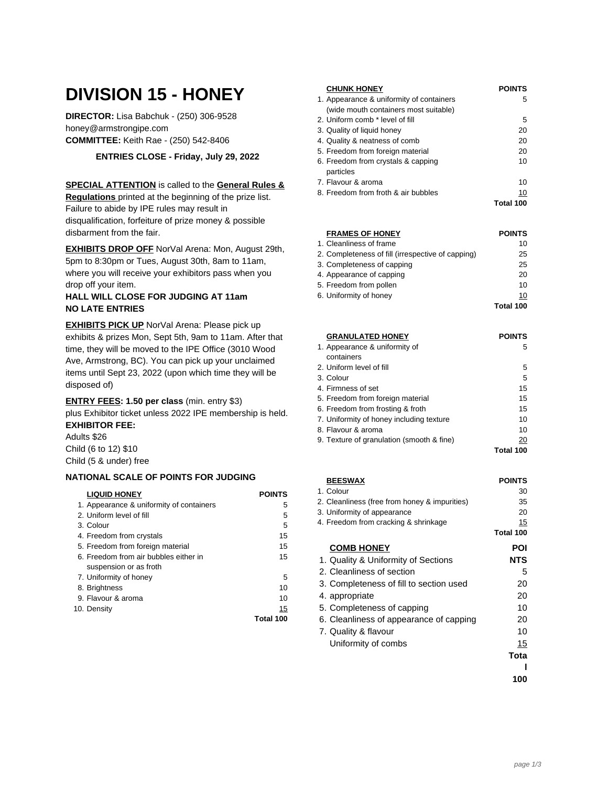# **DIVISION 15 - HONEY**

**DIRECTOR:** Lisa Babchuk - (250) 306-9528 honey@armstrongipe.com **COMMITTEE:** Keith Rae - (250) 542-8406

**ENTRIES CLOSE - Friday, July 29, 2022**

## **SPECIAL ATTENTION** is called to the **General Rules &**

**Regulations** printed at the beginning of the prize list. Failure to abide by IPE rules may result in disqualification, forfeiture of prize money & possible disbarment from the fair.

**EXHIBITS DROP OFF** NorVal Arena: Mon, August 29th, 5pm to 8:30pm or Tues, August 30th, 8am to 11am, where you will receive your exhibitors pass when you drop off your item.

#### **HALL WILL CLOSE FOR JUDGING AT 11am NO LATE ENTRIES**

**EXHIBITS PICK UP** NorVal Arena: Please pick up exhibits & prizes Mon, Sept 5th, 9am to 11am. After that time, they will be moved to the IPE Office (3010 Wood Ave, Armstrong, BC). You can pick up your unclaimed items until Sept 23, 2022 (upon which time they will be disposed of)

**ENTRY FEES: 1.50 per class** (min. entry \$3) plus Exhibitor ticket unless 2022 IPE membership is held. **EXHIBITOR FEE:**

Adults \$26 Child (6 to 12) \$10 Child (5 & under) free

# **NATIONAL SCALE OF POINTS FOR JUDGING**

| <b>LIQUID HONEY</b>                      | <b>POINTS</b> |
|------------------------------------------|---------------|
| 1. Appearance & uniformity of containers | 5             |
| 2. Uniform level of fill                 | 5             |
| 3. Colour                                | 5             |
| 4. Freedom from crystals                 | 15            |
| 5. Freedom from foreign material         | 15            |
| 6. Freedom from air bubbles either in    | 15            |
| suspension or as froth                   |               |
| 7. Uniformity of honey                   | 5             |
| 8. Brightness                            | 10            |
| 9. Flavour & aroma                       | 10            |
| 10. Density                              | 15            |
|                                          | Total 100     |

| <b>CHUNK HONEY</b>                       | <b>POINTS</b> |
|------------------------------------------|---------------|
| 1. Appearance & uniformity of containers | 5             |
| (wide mouth containers most suitable)    |               |
| 2. Uniform comb * level of fill          | 5             |
| 3. Quality of liquid honey               | 20            |
| 4. Quality & neatness of comb            | 20            |
| 5. Freedom from foreign material         | 20            |
| 6. Freedom from crystals & capping       | 10            |
| particles                                |               |
| 7. Flavour & aroma                       | 10            |
| 8. Freedom from froth & air bubbles      | 10            |
|                                          | Total 100     |

| <b>FRAMES OF HONEY</b>                            | <b>POINTS</b> |
|---------------------------------------------------|---------------|
| 1. Cleanliness of frame                           | 10            |
| 2. Completeness of fill (irrespective of capping) | 25            |
| 3. Completeness of capping                        | 25            |
| 4. Appearance of capping                          | 20            |
| 5. Freedom from pollen                            | 10            |
| 6. Uniformity of honey                            | 10            |
|                                                   | Total 100     |

| <b>GRANULATED HONEY</b>                   | <b>POINTS</b> |
|-------------------------------------------|---------------|
| 1. Appearance & uniformity of             | 5             |
| containers                                |               |
| 2. Uniform level of fill                  | 5             |
| 3. Colour                                 | 5             |
| 4. Firmness of set                        | 15            |
| 5. Freedom from foreign material          | 15            |
| 6. Freedom from frosting & froth          | 15            |
| 7. Uniformity of honey including texture  | 10            |
| 8. Flavour & aroma                        | 10            |
| 9. Texture of granulation (smooth & fine) | 20            |
|                                           | Total 100     |

| <b>BEESWAX</b>                                | <b>POINTS</b> |
|-----------------------------------------------|---------------|
| 1. Colour                                     | 30            |
| 2. Cleanliness (free from honey & impurities) | 35            |
| 3. Uniformity of appearance                   | 20            |
| 4. Freedom from cracking & shrinkage          | 15            |
|                                               | Total 100     |
| <b>COMB HONEY</b>                             | POI           |
| 1. Quality & Uniformity of Sections           | <b>NTS</b>    |
| 2. Cleanliness of section                     | 5             |
| 3. Completeness of fill to section used       | 20            |
| 4. appropriate                                | 20            |
| 5. Completeness of capping                    | 10            |
| 6. Cleanliness of appearance of capping       | 20            |
| 7. Quality & flavour                          | 10            |
| Uniformity of combs                           | 15            |
|                                               | Tota          |
|                                               |               |
|                                               | 100           |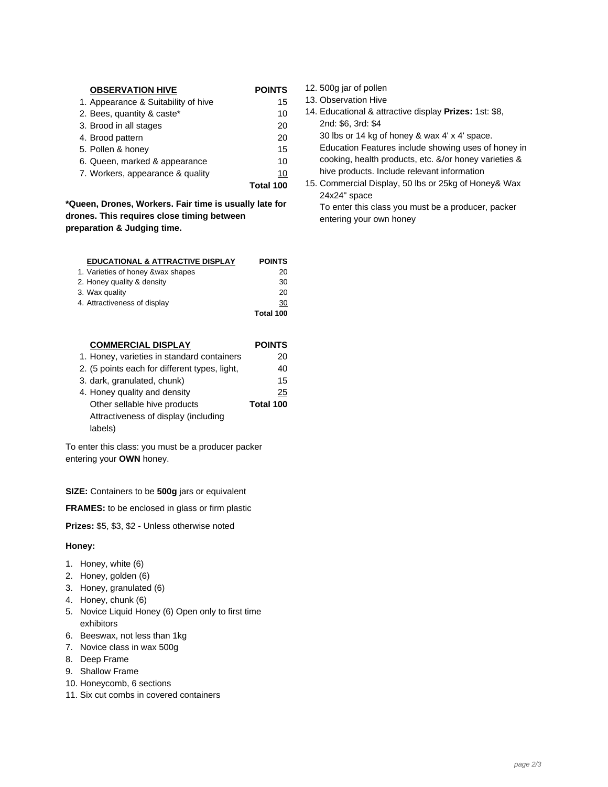| <b>OBSERVATION HIVE</b>             | <b>POINTS</b> |
|-------------------------------------|---------------|
| 1. Appearance & Suitability of hive | 15            |
| 2. Bees, quantity & caste*          | 10            |
| 3. Brood in all stages              | 20            |
| 4. Brood pattern                    | 20            |
| 5. Pollen & honey                   | 15            |
| 6. Queen, marked & appearance       | 10            |
| 7. Workers, appearance & quality    | 10            |
|                                     | Total 100     |

**\*Queen, Drones, Workers. Fair time is usually late for drones. This requires close timing between preparation & Judging time.**

| <b>EDUCATIONAL &amp; ATTRACTIVE DISPLAY</b> | <b>POINTS</b> |
|---------------------------------------------|---------------|
| 1. Varieties of honey & wax shapes          | 20            |
| 2. Honey quality & density                  | 30            |
| 3. Wax quality                              | 20            |
| 4. Attractiveness of display                | 30            |
|                                             | Total 100     |

| <b>COMMERCIAL DISPLAY</b>                     | <b>POINTS</b> |
|-----------------------------------------------|---------------|
| 1. Honey, varieties in standard containers    | 20            |
| 2. (5 points each for different types, light, | 40            |
| 3. dark, granulated, chunk)                   | 15            |
| 4. Honey quality and density                  | 25            |
| Other sellable hive products                  | Total 100     |
| Attractiveness of display (including          |               |
| labels)                                       |               |

To enter this class: you must be a producer packer entering your **OWN** honey.

**SIZE:** Containers to be **500g** jars or equivalent

**FRAMES:** to be enclosed in glass or firm plastic

**Prizes:** \$5, \$3, \$2 - Unless otherwise noted

#### **Honey:**

- 1. Honey, white (6)
- 2. Honey, golden (6)
- 3. Honey, granulated (6)
- 4. Honey, chunk (6)
- 5. Novice Liquid Honey (6) Open only to first time exhibitors
- 6. Beeswax, not less than 1kg
- 7. Novice class in wax 500g
- 8. Deep Frame
- 9. Shallow Frame
- 10. Honeycomb, 6 sections
- 11. Six cut combs in covered containers

12. 500g jar of pollen

- 13. Observation Hive
- 14. Educational & attractive display **Prizes:** 1st: \$8, 2nd: \$6, 3rd: \$4
	- 30 lbs or 14 kg of honey & wax 4' x 4' space.
	- Education Features include showing uses of honey in cooking, health products, etc. &/or honey varieties & hive products. Include relevant information
- 15. Commercial Display, 50 lbs or 25kg of Honey& Wax 24x24" space

To enter this class you must be a producer, packer entering your own honey